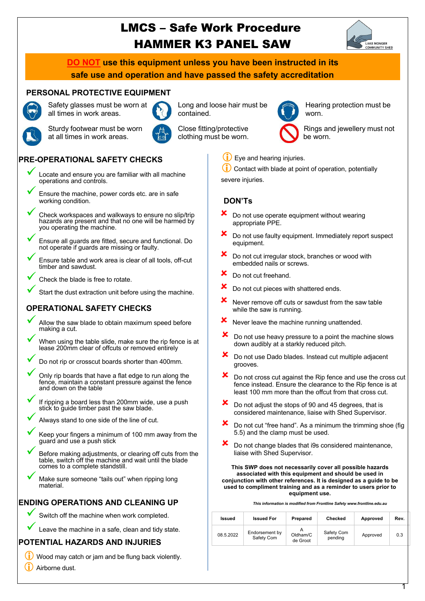# LMCS – Safe Work Procedure HAMMER K3 PANEL SAW



**DO NOT use this equipment unless you have been instructed in its safe use and operation and have passed the safety accreditation**

### **PERSONAL PROTECTIVE EQUIPMENT**



Safety glasses must be worn at all times in work areas.



Long and loose hair must be contained.



Hearing protection must be worn.



Sturdy footwear must be worn at all times in work areas.

Close fitting/protective clothing must be worn.

Rings and jewellery must not be worn.

# **PRE-OPERATIONAL SAFETY CHECKS**

- Locate and ensure you are familiar with all machine operations and controls.
- Ensure the machine, power cords etc. are in safe working condition.
- Check workspaces and walkways to ensure no slip/trip hazards are present and that no one will be harmed by you operating the machine.
- ü Ensure all guards are fitted, secure and functional. Do not operate if guards are missing or faulty.
- Ensure table and work area is clear of all tools, off-cut timber and sawdust.
- Check the blade is free to rotate.

Start the dust extraction unit before using the machine.

# **OPERATIONAL SAFETY CHECKS**

- Allow the saw blade to obtain maximum speed before making a cut.
- When using the table slide, make sure the rip fence is at lease 200mm clear of offcuts or removed entirely
- Do not rip or crosscut boards shorter than 400mm.
- Only rip boards that have a flat edge to run along the fence, maintain a constant pressure against the fence and down on the table
- If ripping a board less than 200mm wide, use a push stick to guide timber past the saw blade.
	- Always stand to one side of the line of cut.
	- Keep your fingers a minimum of 100 mm away from the guard and use a push stick
- Before making adjustments, or clearing off cuts from the table, switch off the machine and wait until the blade comes to a complete standstill.
- Make sure someone "tails out" when ripping long<br>material.

## **ENDING OPERATIONS AND CLEANING UP**

Switch off the machine when work completed.

Leave the machine in a safe, clean and tidy state.

## **POTENTIAL HAZARDS AND INJURIES**

- $(i)$  Wood may catch or jam and be flung back violently.
- (i) Airborne dust.
- Eye and hearing injuries.
- Contact with blade at point of operation, potentially

severe injuries.

## **DON'Ts**

- $\mathbf{\times}$  Do not use operate equipment without wearing appropriate PPE.
- Do not use faulty equipment. Immediately report suspect equipment.
- Do not cut irregular stock, branches or wood with embedded nails or screws.
- Do not cut freehand.
- Do not cut pieces with shattered ends.
- Never remove off cuts or sawdust from the saw table while the saw is running.
- $x$  Never leave the machine running unattended.
- $\mathbf{\times}$  Do not use heavy pressure to a point the machine slows down audibly at a starkly reduced pitch.
- $\mathbf{\times}$  Do not use Dado blades. Instead cut multiple adjacent grooves.
- $\boldsymbol{\times}$  Do not cross cut against the Rip fence and use the cross cut fence instead. Ensure the clearance to the Rip fence is at least 100 mm more than the offcut from that cross cut.
- $\overline{\mathbf{x}}$  Do not adjust the stops of 90 and 45 degrees, that is considered maintenance, liaise with Shed Supervisor.
- $\boldsymbol{\times}$  Do not cut "free hand". As a minimum the trimming shoe (fig 5.5) and the clamp must be used.
- Do not change blades that i9s considered maintenance, liaise with Shed Supervisor.

**This SWP does not necessarily cover all possible hazards associated with this equipment and should be used in conjunction with other references. It is designed as a guide to be used to compliment training and as a reminder to users prior to equipment use.**

| Issued    | <b>Issued For</b>            | Prepared             | Checked               | Approved | Rev. |
|-----------|------------------------------|----------------------|-----------------------|----------|------|
| 08.5.2022 | Endorsement by<br>Safety Com | Oldham/C<br>de Groot | Safety Com<br>pending | Approved | 0.3  |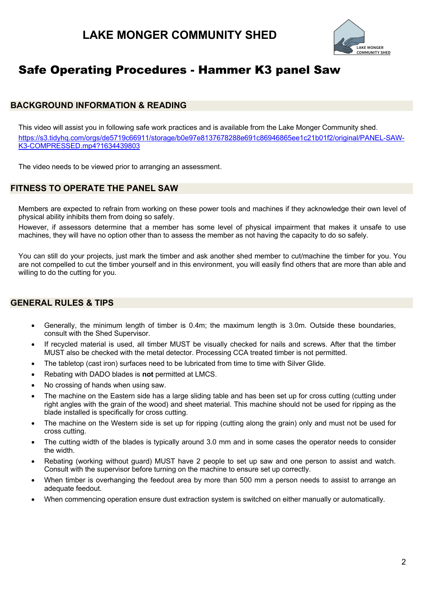

# Safe Operating Procedures - Hammer K3 panel Saw

# **BACKGROUND INFORMATION & READING**

This video will assist you in following safe work practices and is available from the Lake Monger Community shed. https://s3.tidyhq.com/orgs/de5719c66911/storage/b0e97e8137678288e691c86946865ee1c21b01f2/original/PANEL-SAW-K3-COMPRESSED.mp4?1634439803

The video needs to be viewed prior to arranging an assessment.

# **FITNESS TO OPERATE THE PANEL SAW**

Members are expected to refrain from working on these power tools and machines if they acknowledge their own level of physical ability inhibits them from doing so safely.

However, if assessors determine that a member has some level of physical impairment that makes it unsafe to use machines, they will have no option other than to assess the member as not having the capacity to do so safely.

You can still do your projects, just mark the timber and ask another shed member to cut/machine the timber for you. You are not compelled to cut the timber yourself and in this environment, you will easily find others that are more than able and willing to do the cutting for you.

# **GENERAL RULES & TIPS**

- Generally, the minimum length of timber is 0.4m; the maximum length is 3.0m. Outside these boundaries, consult with the Shed Supervisor.
- If recycled material is used, all timber MUST be visually checked for nails and screws. After that the timber MUST also be checked with the metal detector. Processing CCA treated timber is not permitted.
- The tabletop (cast iron) surfaces need to be lubricated from time to time with Silver Glide.
- Rebating with DADO blades is **not** permitted at LMCS.
- No crossing of hands when using saw.
- The machine on the Eastern side has a large sliding table and has been set up for cross cutting (cutting under right angles with the grain of the wood) and sheet material. This machine should not be used for ripping as the blade installed is specifically for cross cutting.
- The machine on the Western side is set up for ripping (cutting along the grain) only and must not be used for cross cutting.
- The cutting width of the blades is typically around 3.0 mm and in some cases the operator needs to consider the width.
- Rebating (working without guard) MUST have 2 people to set up saw and one person to assist and watch. Consult with the supervisor before turning on the machine to ensure set up correctly.
- When timber is overhanging the feedout area by more than 500 mm a person needs to assist to arrange an adequate feedout.
- When commencing operation ensure dust extraction system is switched on either manually or automatically.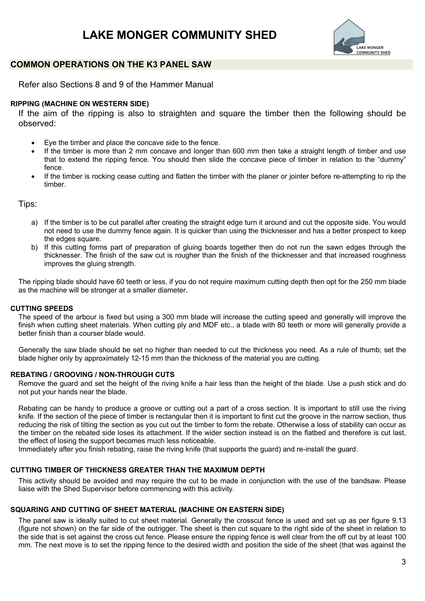# **LAKE MONGER COMMUNITY SHED**



### **COMMON OPERATIONS ON THE K3 PANEL SAW**

Refer also Sections 8 and 9 of the Hammer Manual

### **RIPPING (MACHINE ON WESTERN SIDE)**

If the aim of the ripping is also to straighten and square the timber then the following should be observed:

- Eye the timber and place the concave side to the fence.
- If the timber is more than 2 mm concave and longer than 600 mm then take a straight length of timber and use that to extend the ripping fence. You should then slide the concave piece of timber in relation to the "dummy" fence.
- If the timber is rocking cease cutting and flatten the timber with the planer or jointer before re-attempting to rip the timber.

Tips:

- a) If the timber is to be cut parallel after creating the straight edge turn it around and cut the opposite side. You would not need to use the dummy fence again. It is quicker than using the thicknesser and has a better prospect to keep the edges square.
- b) If this cutting forms part of preparation of gluing boards together then do not run the sawn edges through the thicknesser. The finish of the saw cut is rougher than the finish of the thicknesser and that increased roughness improves the gluing strength.

The ripping blade should have 60 teeth or less, if you do not require maximum cutting depth then opt for the 250 mm blade as the machine will be stronger at a smaller diameter.

### **CUTTING SPEEDS**

The speed of the arbour is fixed but using a 300 mm blade will increase the cutting speed and generally will improve the finish when cutting sheet materials. When cutting ply and MDF etc., a blade with 80 teeth or more will generally provide a better finish than a courser blade would.

Generally the saw blade should be set no higher than needed to cut the thickness you need. As a rule of thumb: set the blade higher only by approximately 12-15 mm than the thickness of the material you are cutting.

#### **REBATING / GROOVING / NON-THROUGH CUTS**

Remove the guard and set the height of the riving knife a hair less than the height of the blade. Use a push stick and do not put your hands near the blade.

Rebating can be handy to produce a groove or cutting out a part of a cross section. It is important to still use the riving knife. If the section of the piece of timber is rectangular then it is important to first cut the groove in the narrow section, thus reducing the risk of tilting the section as you cut out the timber to form the rebate. Otherwise a loss of stability can occur as the timber on the rebated side loses its attachment. If the wider section instead is on the flatbed and therefore is cut last, the effect of losing the support becomes much less noticeable.

Immediately after you finish rebating, raise the riving knife (that supports the guard) and re-install the guard.

### **CUTTING TIMBER OF THICKNESS GREATER THAN THE MAXIMUM DEPTH**

This activity should be avoided and may require the cut to be made in conjunction with the use of the bandsaw. Please liaise with the Shed Supervisor before commencing with this activity.

#### **SQUARING AND CUTTING OF SHEET MATERIAL (MACHINE ON EASTERN SIDE)**

The panel saw is ideally suited to cut sheet material. Generally the crosscut fence is used and set up as per figure 9.13 (figure not shown) on the far side of the outrigger. The sheet is then cut square to the right side of the sheet in relation to the side that is set against the cross cut fence. Please ensure the ripping fence is well clear from the off cut by at least 100 mm. The next move is to set the ripping fence to the desired width and position the side of the sheet (that was against the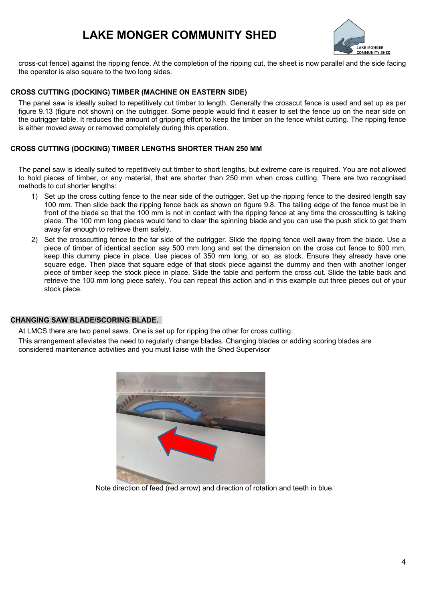# **LAKE MONGER COMMUNITY SHED**



cross-cut fence) against the ripping fence. At the completion of the ripping cut, the sheet is now parallel and the side facing the operator is also square to the two long sides.

### **CROSS CUTTING (DOCKING) TIMBER (MACHINE ON EASTERN SIDE)**

The panel saw is ideally suited to repetitively cut timber to length. Generally the crosscut fence is used and set up as per figure 9.13 (figure not shown) on the outrigger. Some people would find it easier to set the fence up on the near side on the outrigger table. It reduces the amount of gripping effort to keep the timber on the fence whilst cutting. The ripping fence is either moved away or removed completely during this operation.

### **CROSS CUTTING (DOCKING) TIMBER LENGTHS SHORTER THAN 250 MM**

The panel saw is ideally suited to repetitively cut timber to short lengths, but extreme care is required. You are not allowed to hold pieces of timber, or any material, that are shorter than 250 mm when cross cutting. There are two recognised methods to cut shorter lengths:

- 1) Set up the cross cutting fence to the near side of the outrigger. Set up the ripping fence to the desired length say 100 mm. Then slide back the ripping fence back as shown on figure 9.8. The tailing edge of the fence must be in front of the blade so that the 100 mm is not in contact with the ripping fence at any time the crosscutting is taking place. The 100 mm long pieces would tend to clear the spinning blade and you can use the push stick to get them away far enough to retrieve them safely.
- 2) Set the crosscutting fence to the far side of the outrigger. Slide the ripping fence well away from the blade. Use a piece of timber of identical section say 500 mm long and set the dimension on the cross cut fence to 600 mm, keep this dummy piece in place. Use pieces of 350 mm long, or so, as stock. Ensure they already have one square edge. Then place that square edge of that stock piece against the dummy and then with another longer piece of timber keep the stock piece in place. Slide the table and perform the cross cut. Slide the table back and retrieve the 100 mm long piece safely. You can repeat this action and in this example cut three pieces out of your stock piece.

#### **CHANGING SAW BLADE/SCORING BLADE.**

At LMCS there are two panel saws. One is set up for ripping the other for cross cutting.

This arrangement alleviates the need to regularly change blades. Changing blades or adding scoring blades are considered maintenance activities and you must liaise with the Shed Supervisor



Note direction of feed (red arrow) and direction of rotation and teeth in blue.